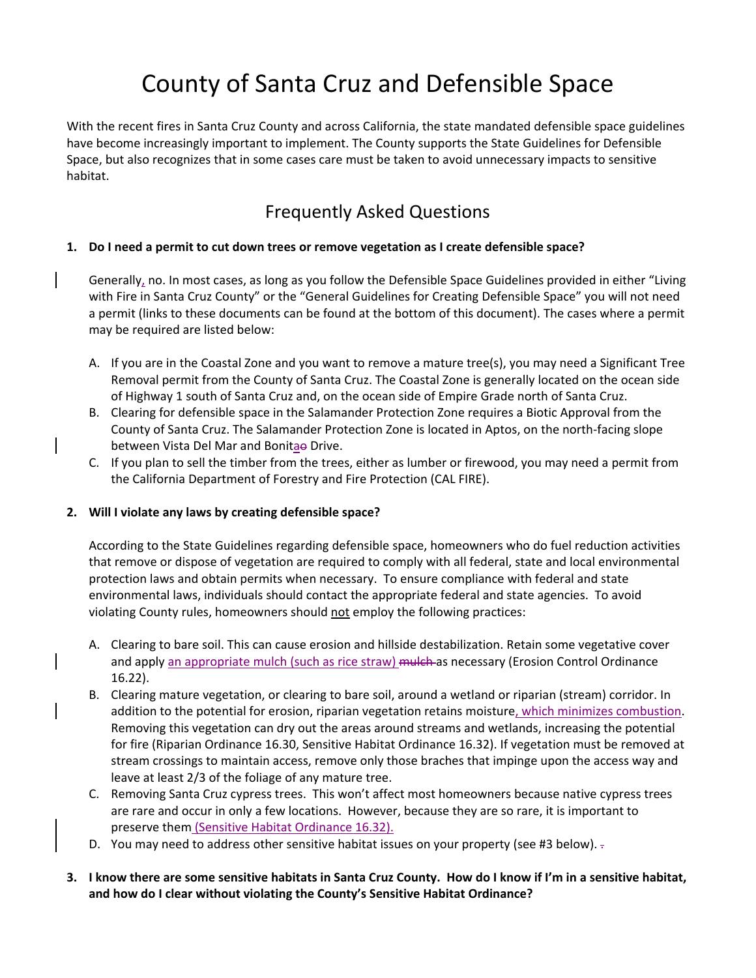# County of Santa Cruz and Defensible Space

With the recent fires in Santa Cruz County and across California, the state mandated defensible space guidelines have become increasingly important to implement. The County supports the State Guidelines for Defensible Space, but also recognizes that in some cases care must be taken to avoid unnecessary impacts to sensitive habitat.

# Frequently Asked Questions

#### **1. Do I need a permit to cut down trees or remove vegetation as I create defensible space?**

Generally, no. In most cases, as long as you follow the Defensible Space Guidelines provided in either "Living with Fire in Santa Cruz County" or the "General Guidelines for Creating Defensible Space" you will not need a permit (links to these documents can be found at the bottom of this document). The cases where a permit may be required are listed below:

- A. If you are in the Coastal Zone and you want to remove a mature tree(s), you may need a Significant Tree Removal permit from the County of Santa Cruz. The Coastal Zone is generally located on the ocean side of Highway 1 south of Santa Cruz and, on the ocean side of Empire Grade north of Santa Cruz.
- B. Clearing for defensible space in the Salamander Protection Zone requires a Biotic Approval from the County of Santa Cruz. The Salamander Protection Zone is located in Aptos, on the north‐facing slope between Vista Del Mar and Bonitae Drive.
- C. If you plan to sell the timber from the trees, either as lumber or firewood, you may need a permit from the California Department of Forestry and Fire Protection (CAL FIRE).

#### **2. Will I violate any laws by creating defensible space?**

According to the State Guidelines regarding defensible space, homeowners who do fuel reduction activities that remove or dispose of vegetation are required to comply with all federal, state and local environmental protection laws and obtain permits when necessary. To ensure compliance with federal and state environmental laws, individuals should contact the appropriate federal and state agencies. To avoid violating County rules, homeowners should not employ the following practices:

- A. Clearing to bare soil. This can cause erosion and hillside destabilization. Retain some vegetative cover and apply an appropriate mulch (such as rice straw) mulch as necessary (Erosion Control Ordinance 16.22).
- B. Clearing mature vegetation, or clearing to bare soil, around a wetland or riparian (stream) corridor. In addition to the potential for erosion, riparian vegetation retains moisture, which minimizes combustion. Removing this vegetation can dry out the areas around streams and wetlands, increasing the potential for fire (Riparian Ordinance 16.30, Sensitive Habitat Ordinance 16.32). If vegetation must be removed at stream crossings to maintain access, remove only those braches that impinge upon the access way and leave at least 2/3 of the foliage of any mature tree.
- C. Removing Santa Cruz cypress trees. This won't affect most homeowners because native cypress trees are rare and occur in only a few locations. However, because they are so rare, it is important to preserve them (Sensitive Habitat Ordinance 16.32).
- D. You may need to address other sensitive habitat issues on your property (see #3 below).
- 3. I know there are some sensitive habitats in Santa Cruz County. How do I know if I'm in a sensitive habitat, **and how do I clear without violating the County's Sensitive Habitat Ordinance?**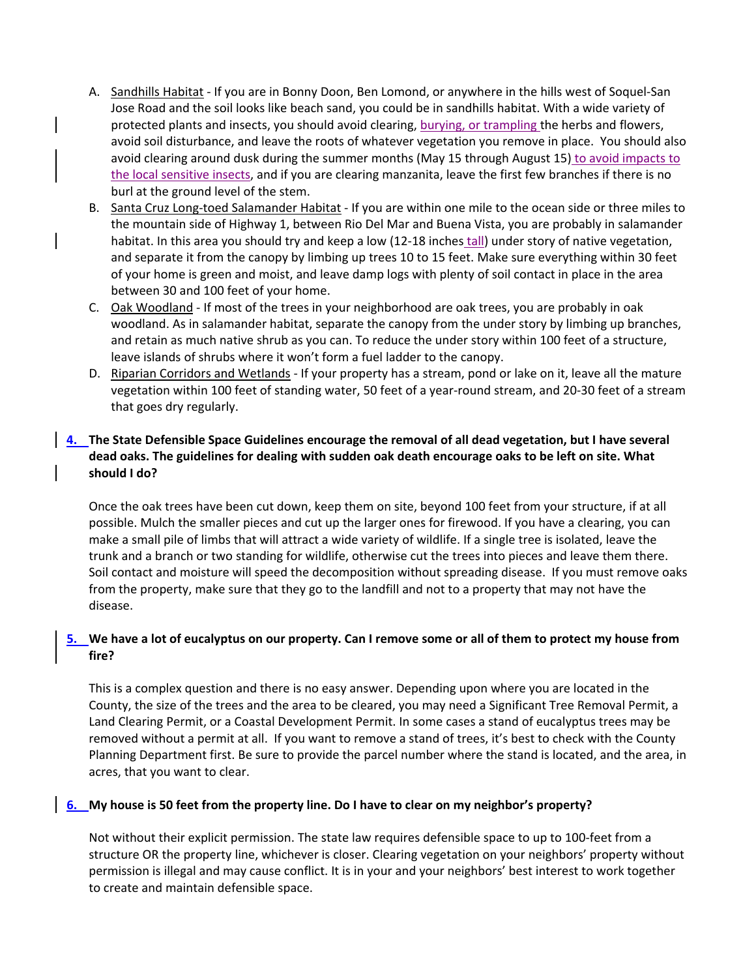- A. Sandhills Habitat If you are in Bonny Doon, Ben Lomond, or anywhere in the hills west of Soquel-San Jose Road and the soil looks like beach sand, you could be in sandhills habitat. With a wide variety of protected plants and insects, you should avoid clearing, burying, or trampling the herbs and flowers, avoid soil disturbance, and leave the roots of whatever vegetation you remove in place. You should also avoid clearing around dusk during the summer months (May 15 through August 15) to avoid impacts to the local sensitive insects, and if you are clearing manzanita, leave the first few branches if there is no burl at the ground level of the stem.
- B. Santa Cruz Long‐toed Salamander Habitat ‐ If you are within one mile to the ocean side or three miles to the mountain side of Highway 1, between Rio Del Mar and Buena Vista, you are probably in salamander habitat. In this area you should try and keep a low (12‐18 inches tall) under story of native vegetation, and separate it from the canopy by limbing up trees 10 to 15 feet. Make sure everything within 30 feet of your home is green and moist, and leave damp logs with plenty of soil contact in place in the area between 30 and 100 feet of your home.
- C. Oak Woodland ‐ If most of the trees in your neighborhood are oak trees, you are probably in oak woodland. As in salamander habitat, separate the canopy from the under story by limbing up branches, and retain as much native shrub as you can. To reduce the under story within 100 feet of a structure, leave islands of shrubs where it won't form a fuel ladder to the canopy.
- D. Riparian Corridors and Wetlands ‐ If your property has a stream, pond or lake on it, leave all the mature vegetation within 100 feet of standing water, 50 feet of a year‐round stream, and 20‐30 feet of a stream that goes dry regularly.

## **4. The State Defensible Space Guidelines encourage the removal of all dead vegetation, but I have several** dead oaks. The guidelines for dealing with sudden oak death encourage oaks to be left on site. What **should I do?**

Once the oak trees have been cut down, keep them on site, beyond 100 feet from your structure, if at all possible. Mulch the smaller pieces and cut up the larger ones for firewood. If you have a clearing, you can make a small pile of limbs that will attract a wide variety of wildlife. If a single tree is isolated, leave the trunk and a branch or two standing for wildlife, otherwise cut the trees into pieces and leave them there. Soil contact and moisture will speed the decomposition without spreading disease. If you must remove oaks from the property, make sure that they go to the landfill and not to a property that may not have the disease.

## 5. We have a lot of eucalyptus on our property. Can I remove some or all of them to protect my house from **fire?**

This is a complex question and there is no easy answer. Depending upon where you are located in the County, the size of the trees and the area to be cleared, you may need a Significant Tree Removal Permit, a Land Clearing Permit, or a Coastal Development Permit. In some cases a stand of eucalyptus trees may be removed without a permit at all. If you want to remove a stand of trees, it's best to check with the County Planning Department first. Be sure to provide the parcel number where the stand is located, and the area, in acres, that you want to clear.

#### 6. My house is 50 feet from the property line. Do I have to clear on my neighbor's property?

Not without their explicit permission. The state law requires defensible space to up to 100‐feet from a structure OR the property line, whichever is closer. Clearing vegetation on your neighbors' property without permission is illegal and may cause conflict. It is in your and your neighbors' best interest to work together to create and maintain defensible space.